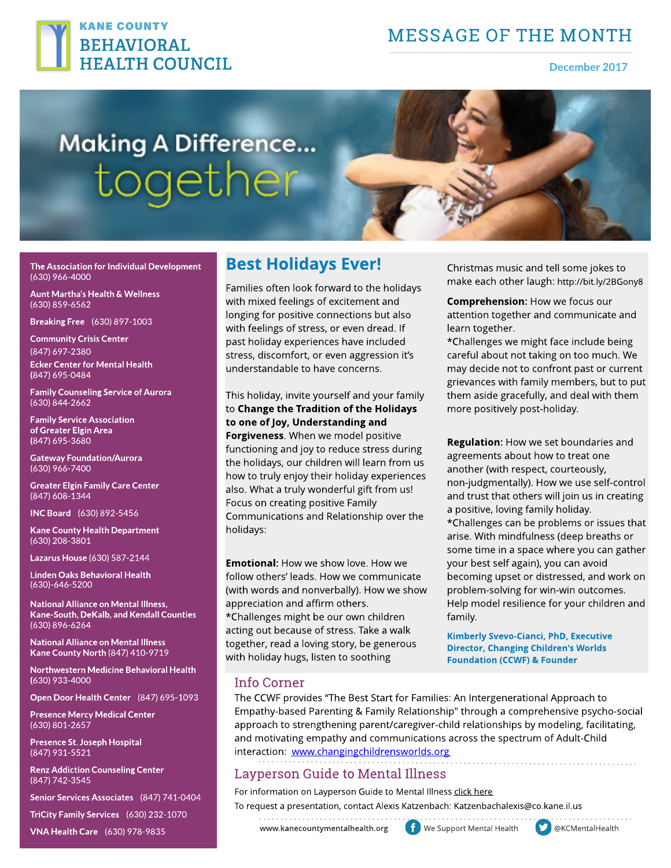

## **MESSAGE OF THE MONTH**

December 2017

# **Making A Difference...** together



The Association for Individual Development (630) 966-4000

Aunt Martha's Health & Wellness (630) 859-6562

Breaking Free (630) 897-1003

**Community Crisis Center** (847) 697-2380 Ecker Center for Mental Health (847) 695-0484

Family Counseling Service of Aurora (630) 844-2662

Family Service Association of Greater Elgin Area (847) 695-3680

Gateway Foundation/Aurora (630) 966-7400

Greater Elgin Family Care Center (847) 608-1344

INCBoard (630) 892-5456

Kane County Health Department (630) 208-3801

Lazarus House (630) 587-2144

Linden Oaks Behavioral Health (630)-646-5200

National Alliance on Mental Illness, Kane-South, DeKalb, and Kendall Counties (630) 896-6264

National Alliance on Mental Illness Kane County North (847) 410-9719

Northwestern Medicine Behavioral Health (630) 933-4000

Open Door Health Center (847) 695-1093

Presence Mercy Medical Center (630) 801-2657

Presence St. Joseph Hospital (847) 931-5521

Renz Addiction Counseling Center (847) 742-3545

Senior Services Associates (847) 741-0404

TriCity Family Services (630) 232-1070

VNA Health Care (630) 978-9835

## Best Holidays Ever!

Families often look forward to the holidays with mixed feelings of excitement and longing for positive connections but also with feelings of stress, or even dread. If past holiday experiences have included stress, discomfort, or even aggression it's understandable to have concerns.

This holiday, invite yourself and your family to Change the Tradition of the Holidays to one of Joy, Understanding and Forgiveness. When we model positive functioning and joy to reduce stress during the holidays, our children will learn from us how to truly enjoy their holiday experiences also. What a truly wonderful gift from us! Focus on creating positive Family Communications and Relationship over the holidays:

**Emotional:** How we show love. How we follow others' leads. How we communicate (with words and nonverbally). How we show appreciation and affirm others. \* Challenges might be our own children acting out because of stress. Take a walk together, read a loving story, be generous with holiday hugs, listen to soothing

Christmas music and tell some jokes to make each other laugh: <http://bit.ly/2BGony8>

Comprehension: How we focus our attention together and communicate and learn together.

\* Challenges we might face include being careful about not taking on too much. We may decide not to confront past or current grievances with family members, but to put them aside gracefully, and deal with them more positively post-holiday.

Regulation: How we set boundaries and agreements about how to treat one another (with respect, courteously, non-judgmentally). How we use self-control and trust that others will join us in creating a positive, loving family holiday. \* Challenges can be problems or issues that arise. With mindfulness (deep breaths or some time in a space where you can gather your best self again), you can avoid becoming upset or distressed, and work on problem-solving for win-win outcomes. Help model resilience for your children and family.

Kimberly Svevo-Cianci, PhD, Executive Director, Changing Children's Worlds **Foundation (CCWF) & Founder** 

#### Info Corner

The CCWF provides "The Best Start for Families: An Intergenerational Approach to Empathy-based Parenting & Family Relationship" through a comprehensive psycho-social approach to strengthening parent/caregiver-child relationships by modeling, facilitating, and motivating empathy and communications across the spectrum of Adult-Child interaction: [www.changingchildrensworlds.org](http://www.changingchildrensworlds.org)

#### Layperson Guide to Mental Illness

For information on Layperson Guide to Mental Illness [click](https://my.visme.co/projects/4doqzz9k-laypersons-guide-flyer-english) [here](https://my.visme.co/projects/4doqzz9k-laypersons-guide-flyer-english) To request a presentation, contact Alexis Katzenbach: Katzenbachalexis@co.kane.il.us

www.kanecountymentalhealth.org fight We Support Mental Health  $\bullet$  @KCMentalHealth